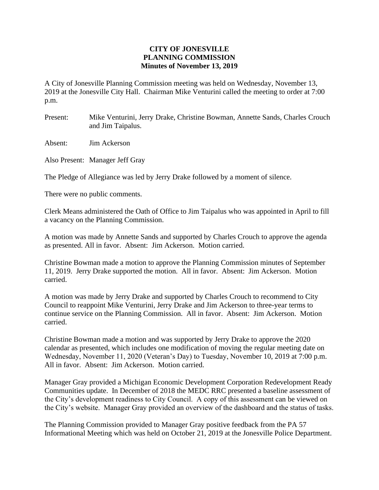## **CITY OF JONESVILLE PLANNING COMMISSION Minutes of November 13, 2019**

A City of Jonesville Planning Commission meeting was held on Wednesday, November 13, 2019 at the Jonesville City Hall. Chairman Mike Venturini called the meeting to order at 7:00 p.m.

- Present: Mike Venturini, Jerry Drake, Christine Bowman, Annette Sands, Charles Crouch and Jim Taipalus.
- Absent: Jim Ackerson
- Also Present: Manager Jeff Gray

The Pledge of Allegiance was led by Jerry Drake followed by a moment of silence.

There were no public comments.

Clerk Means administered the Oath of Office to Jim Taipalus who was appointed in April to fill a vacancy on the Planning Commission.

A motion was made by Annette Sands and supported by Charles Crouch to approve the agenda as presented. All in favor. Absent: Jim Ackerson. Motion carried.

Christine Bowman made a motion to approve the Planning Commission minutes of September 11, 2019. Jerry Drake supported the motion. All in favor. Absent: Jim Ackerson. Motion carried.

A motion was made by Jerry Drake and supported by Charles Crouch to recommend to City Council to reappoint Mike Venturini, Jerry Drake and Jim Ackerson to three-year terms to continue service on the Planning Commission. All in favor. Absent: Jim Ackerson. Motion carried.

Christine Bowman made a motion and was supported by Jerry Drake to approve the 2020 calendar as presented, which includes one modification of moving the regular meeting date on Wednesday, November 11, 2020 (Veteran's Day) to Tuesday, November 10, 2019 at 7:00 p.m. All in favor. Absent: Jim Ackerson. Motion carried.

Manager Gray provided a Michigan Economic Development Corporation Redevelopment Ready Communities update. In December of 2018 the MEDC RRC presented a baseline assessment of the City's development readiness to City Council. A copy of this assessment can be viewed on the City's website. Manager Gray provided an overview of the dashboard and the status of tasks.

The Planning Commission provided to Manager Gray positive feedback from the PA 57 Informational Meeting which was held on October 21, 2019 at the Jonesville Police Department.